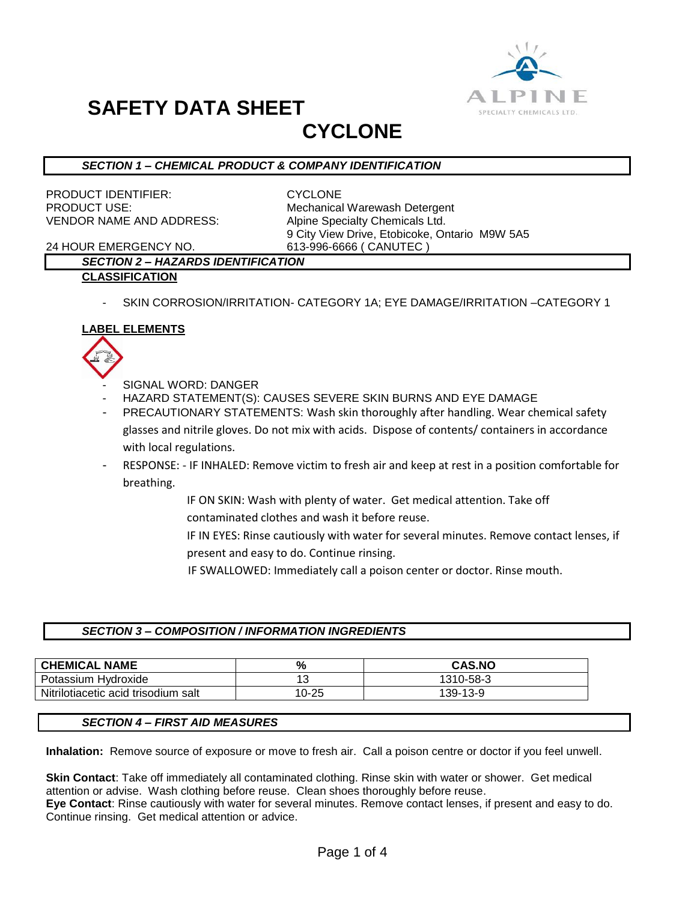

# **SAFETY DATA SHEET**

## **CYCLONE**

#### *SECTION 1 – CHEMICAL PRODUCT & COMPANY IDENTIFICATION*

PRODUCT IDENTIFIER: CYCLONE VENDOR NAME AND ADDRESS: Alpine Specialty Chemicals Ltd.

PRODUCT USE: Mechanical Warewash Detergent 9 City View Drive, Etobicoke, Ontario M9W 5A5

24 HOUR EMERGENCY NO. 613-996-6666 ( CANUTEC )

### *SECTION 2 – HAZARDS IDENTIFICATION*

#### **CLASSIFICATION**

SKIN CORROSION/IRRITATION- CATEGORY 1A; EYE DAMAGE/IRRITATION -CATEGORY 1

#### **LABEL ELEMENTS**



- SIGNAL WORD: DANGER
- HAZARD STATEMENT(S): CAUSES SEVERE SKIN BURNS AND EYE DAMAGE
- PRECAUTIONARY STATEMENTS: Wash skin thoroughly after handling. Wear chemical safety glasses and nitrile gloves. Do not mix with acids. Dispose of contents/ containers in accordance with local regulations.
- RESPONSE: IF INHALED: Remove victim to fresh air and keep at rest in a position comfortable for breathing.
	- IF ON SKIN: Wash with plenty of water. Get medical attention. Take off contaminated clothes and wash it before reuse.
	- IF IN EYES: Rinse cautiously with water for several minutes. Remove contact lenses, if present and easy to do. Continue rinsing.
		- IF SWALLOWED: Immediately call a poison center or doctor. Rinse mouth.

#### *SECTION 3 – COMPOSITION / INFORMATION INGREDIENTS*

| <b>CHEMICAL NAME</b>                | %          | <b>CAS.NO</b> |
|-------------------------------------|------------|---------------|
| Potassium Hvdroxide                 | 1 ຕ<br>ں ا | 1310-58-3     |
| Nitrilotiacetic acid trisodium salt | 10-25      | 139-13-9      |

#### *SECTION 4 – FIRST AID MEASURES*

**Inhalation:** Remove source of exposure or move to fresh air. Call a poison centre or doctor if you feel unwell.

**Skin Contact**: Take off immediately all contaminated clothing. Rinse skin with water or shower. Get medical attention or advise. Wash clothing before reuse. Clean shoes thoroughly before reuse.

**Eye Contact**: Rinse cautiously with water for several minutes. Remove contact lenses, if present and easy to do. Continue rinsing. Get medical attention or advice.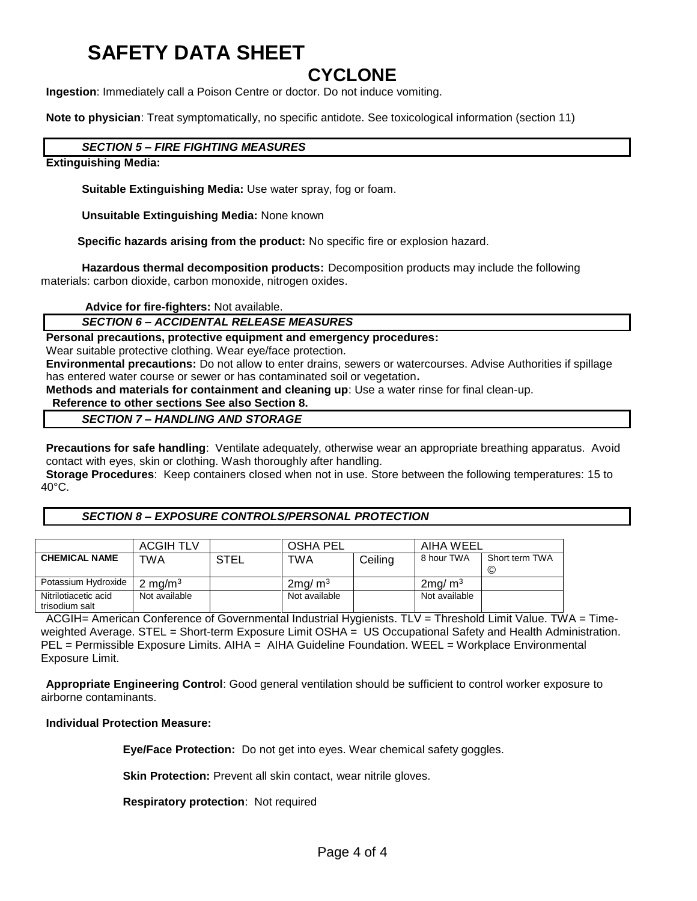# **SAFETY DATA SHEET**

### **CYCLONE**

**Ingestion**: Immediately call a Poison Centre or doctor. Do not induce vomiting.

**Note to physician**: Treat symptomatically, no specific antidote. See toxicological information (section 11)

#### *SECTION 5 – FIRE FIGHTING MEASURES*

**Extinguishing Media:**

**Suitable Extinguishing Media:** Use water spray, fog or foam.

**Unsuitable Extinguishing Media:** None known

 **Specific hazards arising from the product:** No specific fire or explosion hazard.

**Hazardous thermal decomposition products:** Decomposition products may include the following materials: carbon dioxide, carbon monoxide, nitrogen oxides.

**Advice for fire-fighters:** Not available.

#### *SECTION 6 – ACCIDENTAL RELEASE MEASURES*

**Personal precautions, protective equipment and emergency procedures:**

Wear suitable protective clothing. Wear eye/face protection.

**Environmental precautions:** Do not allow to enter drains, sewers or watercourses. Advise Authorities if spillage has entered water course or sewer or has contaminated soil or vegetation**.** 

**Methods and materials for containment and cleaning up**: Use a water rinse for final clean-up.

#### **Reference to other sections See also Section 8.**

#### *SECTION 7 – HANDLING AND STORAGE*

**Precautions for safe handling**: Ventilate adequately, otherwise wear an appropriate breathing apparatus. Avoid contact with eyes, skin or clothing. Wash thoroughly after handling.

**Storage Procedures**: Keep containers closed when not in use. Store between the following temperatures: 15 to 40°C.

#### *SECTION 8 – EXPOSURE CONTROLS/PERSONAL PROTECTION*

|                                        | <b>ACGIH TLV</b>   |      | <b>OSHA PEL</b>        |         | AIHA WEEL              |                     |
|----------------------------------------|--------------------|------|------------------------|---------|------------------------|---------------------|
| <b>CHEMICAL NAME</b>                   | TWA                | STEL | TWA                    | Ceiling | 8 hour TWA             | Short term TWA<br>© |
| Potassium Hydroxide                    | $2 \text{ mq/m}^3$ |      | $2$ ma/ m <sup>3</sup> |         | $2$ ma/ m <sup>3</sup> |                     |
| Nitrilotiacetic acid<br>trisodium salt | Not available      |      | Not available          |         | Not available          |                     |

ACGIH= American Conference of Governmental Industrial Hygienists. TLV = Threshold Limit Value. TWA = Timeweighted Average. STEL = Short-term Exposure Limit OSHA = US Occupational Safety and Health Administration. PEL = Permissible Exposure Limits. AIHA = AIHA Guideline Foundation. WEEL = Workplace Environmental Exposure Limit.

**Appropriate Engineering Control**: Good general ventilation should be sufficient to control worker exposure to airborne contaminants.

#### **Individual Protection Measure:**

**Eye/Face Protection:** Do not get into eyes. Wear chemical safety goggles.

**Skin Protection:** Prevent all skin contact, wear nitrile gloves.

**Respiratory protection**: Not required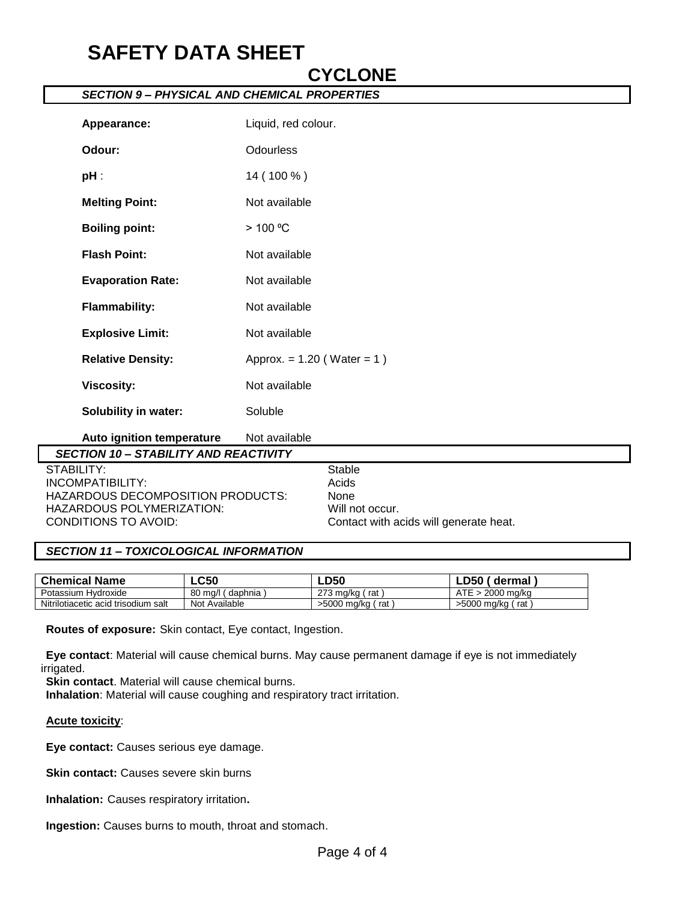# **SAFETY DATA SHEET**

| Appearance:                                  | Liquid, red colour.             |                 |
|----------------------------------------------|---------------------------------|-----------------|
| Odour:                                       | <b>Odourless</b>                |                 |
| $pH$ :                                       | 14 (100 %)                      |                 |
| <b>Melting Point:</b>                        | Not available                   |                 |
| <b>Boiling point:</b>                        | > 100 °C                        |                 |
| <b>Flash Point:</b>                          | Not available                   |                 |
| <b>Evaporation Rate:</b>                     | Not available                   |                 |
| <b>Flammability:</b>                         | Not available                   |                 |
| <b>Explosive Limit:</b>                      | Not available                   |                 |
| <b>Relative Density:</b>                     | Approx. = $1.20$ (Water = $1$ ) |                 |
| <b>Viscosity:</b>                            | Not available                   |                 |
| <b>Solubility in water:</b>                  | Soluble                         |                 |
| Auto ignition temperature                    | Not available                   |                 |
| <b>SECTION 10 - STABILITY AND REACTIVITY</b> |                                 |                 |
| <b>STABILITY:</b>                            |                                 | <b>Stable</b>   |
| <b>INCOMPATIBILITY:</b>                      |                                 | Acids           |
| HAZARDOUS DECOMPOSITION PRODUCTS:            |                                 | None            |
| HAZARDOUS POLYMERIZATION:                    |                                 | Will not occur. |

**CYCLONE**

#### *SECTION 9 – PHYSICAL AND CHEMICAL PROPERTIES*

#### *SECTION 11 – TOXICOLOGICAL INFORMATION*

| <b>Chemical Name</b>                | $\mathsf{L}\mathsf{C}50$ | LD50                          | LD50_<br>dermal    |
|-------------------------------------|--------------------------|-------------------------------|--------------------|
| Potassium Hydroxide                 | 80<br>mq/l<br>daphnia    | 273 ma/ka<br>rat              | 2000 ma/ka         |
| Nitrilotiacetic acid trisodium salt | Not Available            | $>5000$ mg/kg $\prime$<br>rat | >5000 ma/ka<br>rat |

CONDITIONS TO AVOID: Contact with acids will generate heat.

**Routes of exposure:** Skin contact, Eye contact, Ingestion.

**Eye contact**: Material will cause chemical burns. May cause permanent damage if eye is not immediately irrigated.

**Skin contact**. Material will cause chemical burns.

**Inhalation**: Material will cause coughing and respiratory tract irritation.

#### **Acute toxicity**:

**Eye contact:** Causes serious eye damage.

**Skin contact:** Causes severe skin burns

**Inhalation:** Causes respiratory irritation**.**

**Ingestion:** Causes burns to mouth, throat and stomach.